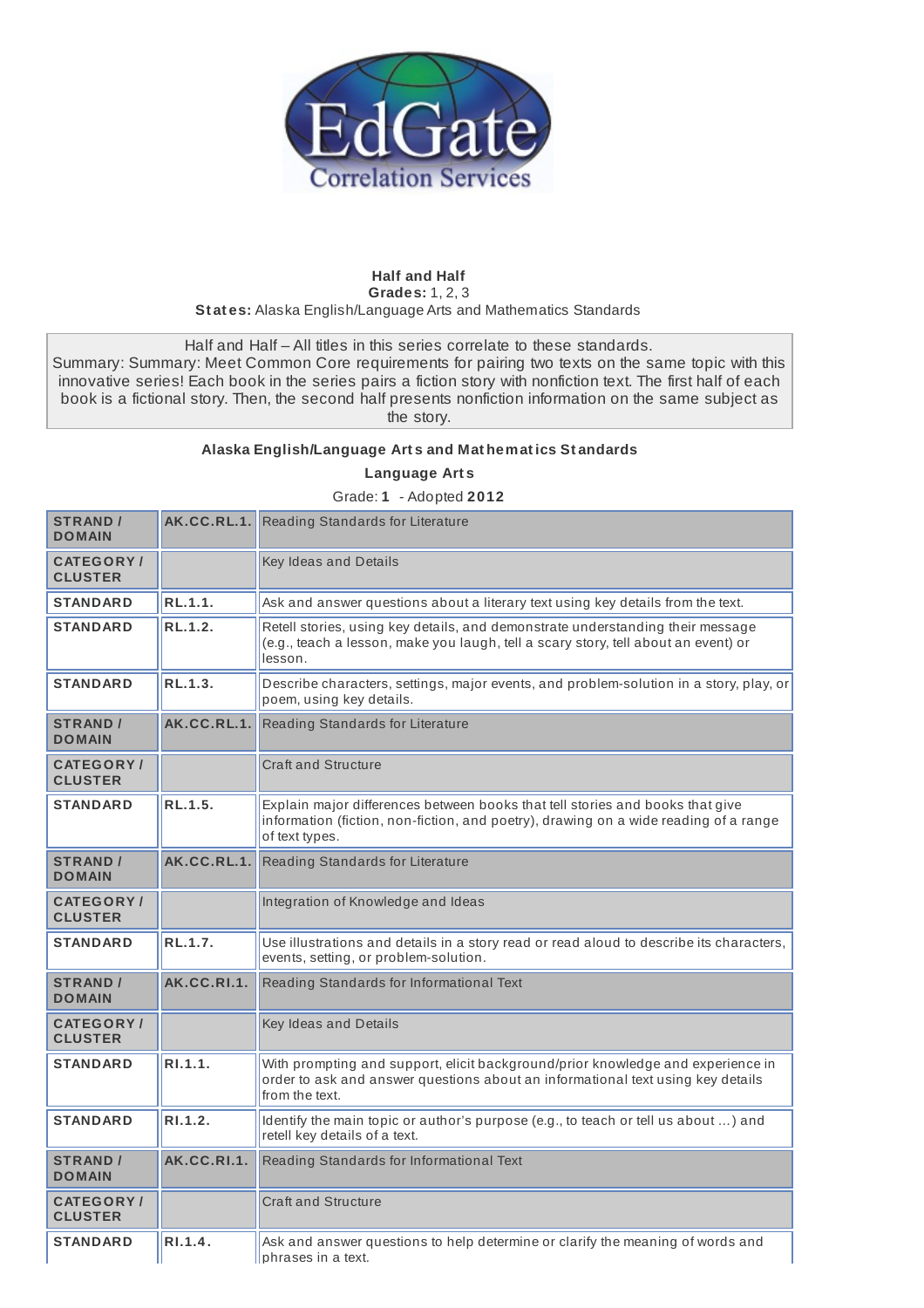

## **Half and Half Grades:** 1, 2, 3 **St at es:** Alaska English/Language Arts and Mathematics Standards

Half and Half – All titles in this series correlate to these standards.

Summary: Summary: Meet Common Core requirements for pairing two texts on the same topic with this innovative series! Each book in the series pairs a fiction story with nonfiction text. The first half of each book is a fictional story. Then, the second half presents nonfiction information on the same subject as the story.

## **Alaska English/Language Art s and Mat hemat ics St andards**

**Language Art s**

Grade: **1** - Adopted **2012**

| <b>STRAND /</b><br><b>DOMAIN</b>    |             | <b>AK.CC.RL.1.</b> Reading Standards for Literature                                                                                                                                     |
|-------------------------------------|-------------|-----------------------------------------------------------------------------------------------------------------------------------------------------------------------------------------|
| <b>CATEGORY</b> /<br><b>CLUSTER</b> |             | Key Ideas and Details                                                                                                                                                                   |
| <b>STANDARD</b>                     | RL.1.1.     | Ask and answer questions about a literary text using key details from the text.                                                                                                         |
| <b>STANDARD</b>                     | RL.1.2.     | Retell stories, using key details, and demonstrate understanding their message<br>(e.g., teach a lesson, make you laugh, tell a scary story, tell about an event) or<br>lesson.         |
| <b>STANDARD</b>                     | RL.1.3.     | Describe characters, settings, major events, and problem-solution in a story, play, or<br>poem, using key details.                                                                      |
| <b>STRAND /</b><br><b>DOMAIN</b>    | AK.CC.RL.1. | Reading Standards for Literature                                                                                                                                                        |
| <b>CATEGORY</b> /<br><b>CLUSTER</b> |             | <b>Craft and Structure</b>                                                                                                                                                              |
| <b>STANDARD</b>                     | RL.1.5.     | Explain major differences between books that tell stories and books that give<br>information (fiction, non-fiction, and poetry), drawing on a wide reading of a range<br>of text types. |
| <b>STRAND /</b><br><b>DOMAIN</b>    | AK.CC.RL.1. | Reading Standards for Literature                                                                                                                                                        |
| <b>CATEGORY/</b><br><b>CLUSTER</b>  |             | Integration of Knowledge and Ideas                                                                                                                                                      |
| <b>STANDARD</b>                     | RL.1.7.     | Use illustrations and details in a story read or read aloud to describe its characters,<br>events, setting, or problem-solution.                                                        |
| <b>STRAND /</b><br><b>DOMAIN</b>    | AK.CC.RI.1. | Reading Standards for Informational Text                                                                                                                                                |
| <b>CATEGORY/</b><br><b>CLUSTER</b>  |             | Key Ideas and Details                                                                                                                                                                   |
| <b>STANDARD</b>                     | R1.1.1.     | With prompting and support, elicit background/prior knowledge and experience in<br>order to ask and answer questions about an informational text using key details<br>from the text.    |
| <b>STANDARD</b>                     | R1.1.2.     | Identify the main topic or author's purpose (e.g., to teach or tell us about ) and<br>retell key details of a text.                                                                     |
| <b>STRAND /</b><br><b>DOMAIN</b>    | AK.CC.RI.1. | Reading Standards for Informational Text                                                                                                                                                |
| <b>CATEGORY/</b><br><b>CLUSTER</b>  |             | <b>Craft and Structure</b>                                                                                                                                                              |
| <b>STANDARD</b>                     | R1.1.4.     | Ask and answer questions to help determine or clarify the meaning of words and<br>phrases in a text.                                                                                    |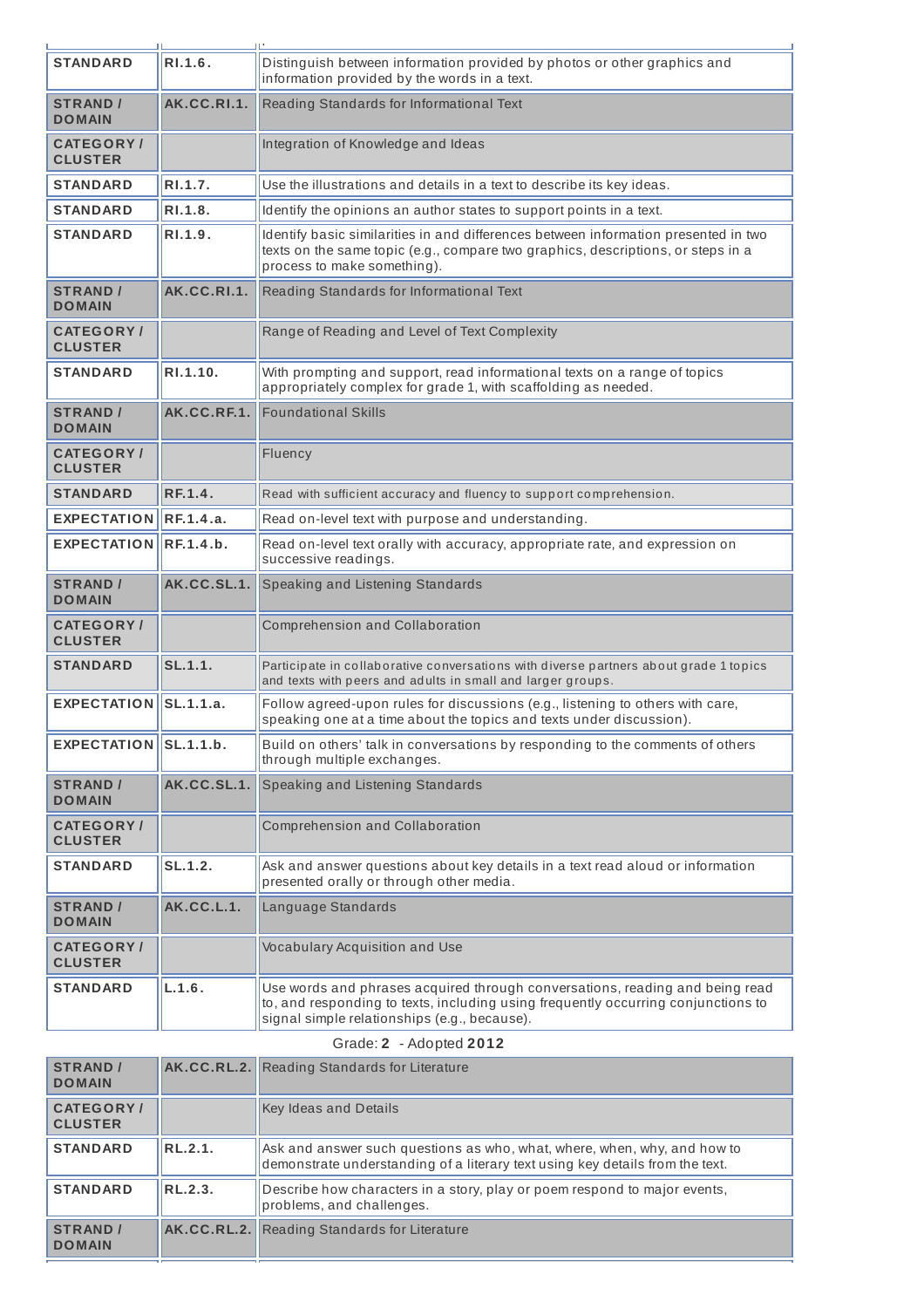| <b>STANDARD</b>                     | R1.1.6.     | Distinguish between information provided by photos or other graphics and<br>information provided by the words in a text.                                                                                          |
|-------------------------------------|-------------|-------------------------------------------------------------------------------------------------------------------------------------------------------------------------------------------------------------------|
| <b>STRAND /</b><br><b>DOMAIN</b>    | AK.CC.RI.1. | Reading Standards for Informational Text                                                                                                                                                                          |
| <b>CATEGORY /</b><br><b>CLUSTER</b> |             | Integration of Knowledge and Ideas                                                                                                                                                                                |
| <b>STANDARD</b>                     | RI.1.7.     | Use the illustrations and details in a text to describe its key ideas.                                                                                                                                            |
| <b>STANDARD</b>                     | RI.1.8.     | Identify the opinions an author states to support points in a text.                                                                                                                                               |
| <b>STANDARD</b>                     | RI.1.9.     | Identify basic similarities in and differences between information presented in two<br>texts on the same topic (e.g., compare two graphics, descriptions, or steps in a<br>process to make something).            |
| <b>STRAND /</b><br><b>DOMAIN</b>    | AK.CC.RI.1. | Reading Standards for Informational Text                                                                                                                                                                          |
| <b>CATEGORY /</b><br><b>CLUSTER</b> |             | Range of Reading and Level of Text Complexity                                                                                                                                                                     |
| <b>STANDARD</b>                     | RI.1.10.    | With prompting and support, read informational texts on a range of topics<br>appropriately complex for grade 1, with scaffolding as needed.                                                                       |
| <b>STRAND /</b><br><b>DOMAIN</b>    | AK.CC.RF.1. | <b>Foundational Skills</b>                                                                                                                                                                                        |
| <b>CATEGORY /</b><br><b>CLUSTER</b> |             | Fluency                                                                                                                                                                                                           |
| <b>STANDARD</b>                     | RF.1.4.     | Read with sufficient accuracy and fluency to support comprehension.                                                                                                                                               |
| <b>EXPECTATION</b>                  | RF.1.4.a.   | Read on-level text with purpose and understanding.                                                                                                                                                                |
| <b>EXPECTATION</b>                  | RF.1.4.b.   | Read on-level text orally with accuracy, appropriate rate, and expression on<br>successive readings.                                                                                                              |
| <b>STRAND /</b><br><b>DOMAIN</b>    | AK.CC.SL.1. | Speaking and Listening Standards                                                                                                                                                                                  |
| <b>CATEGORY/</b><br><b>CLUSTER</b>  |             | Comprehension and Collaboration                                                                                                                                                                                   |
| <b>STANDARD</b>                     | SL.1.1.     | Participate in collaborative conversations with diverse partners about grade 1 topics<br>and texts with peers and adults in small and larger groups.                                                              |
| <b>EXPECTATION</b>                  | SL.1.1.a.   | Follow agreed-upon rules for discussions (e.g., listening to others with care,<br>speaking one at a time about the topics and texts under discussion).                                                            |
| <b>EXPECTATION</b>                  | SL.1.1.b.   | Build on others' talk in conversations by responding to the comments of others<br>through multiple exchanges.                                                                                                     |
| <b>STRAND /</b><br><b>DOMAIN</b>    | AK.CC.SL.1. | Speaking and Listening Standards                                                                                                                                                                                  |
| <b>CATEGORY /</b><br><b>CLUSTER</b> |             | Comprehension and Collaboration                                                                                                                                                                                   |
| <b>STANDARD</b>                     | SL.1.2.     | Ask and answer questions about key details in a text read aloud or information<br>presented orally or through other media.                                                                                        |
| <b>STRAND /</b><br><b>DOMAIN</b>    | AK.CC.L.1.  | Language Standards                                                                                                                                                                                                |
| <b>CATEGORY /</b><br><b>CLUSTER</b> |             | Vocabulary Acquisition and Use                                                                                                                                                                                    |
| <b>STANDARD</b>                     | L.1.6.      | Use words and phrases acquired through conversations, reading and being read<br>to, and responding to texts, including using frequently occurring conjunctions to<br>signal simple relationships (e.g., because). |

## Grade: **2** - Adopted **2012**

| <b>STRAND /</b><br><b>DOMAIN</b>   |                | <b>AK.CC.RL.2.</b> Reading Standards for Literature                                                                                                       |
|------------------------------------|----------------|-----------------------------------------------------------------------------------------------------------------------------------------------------------|
| <b>CATEGORY/</b><br><b>CLUSTER</b> |                | <b>Key Ideas and Details</b>                                                                                                                              |
| <b>STANDARD</b>                    | <b>RL.2.1.</b> | Ask and answer such questions as who, what, where, when, why, and how to<br>demonstrate understanding of a literary text using key details from the text. |
| <b>STANDARD</b>                    | RL.2.3.        | Describe how characters in a story, play or poem respond to major events,<br>problems, and challenges.                                                    |
| <b>STRAND /</b><br><b>DOMAIN</b>   |                | <b>AK.CC.RL.2.</b> Reading Standards for Literature                                                                                                       |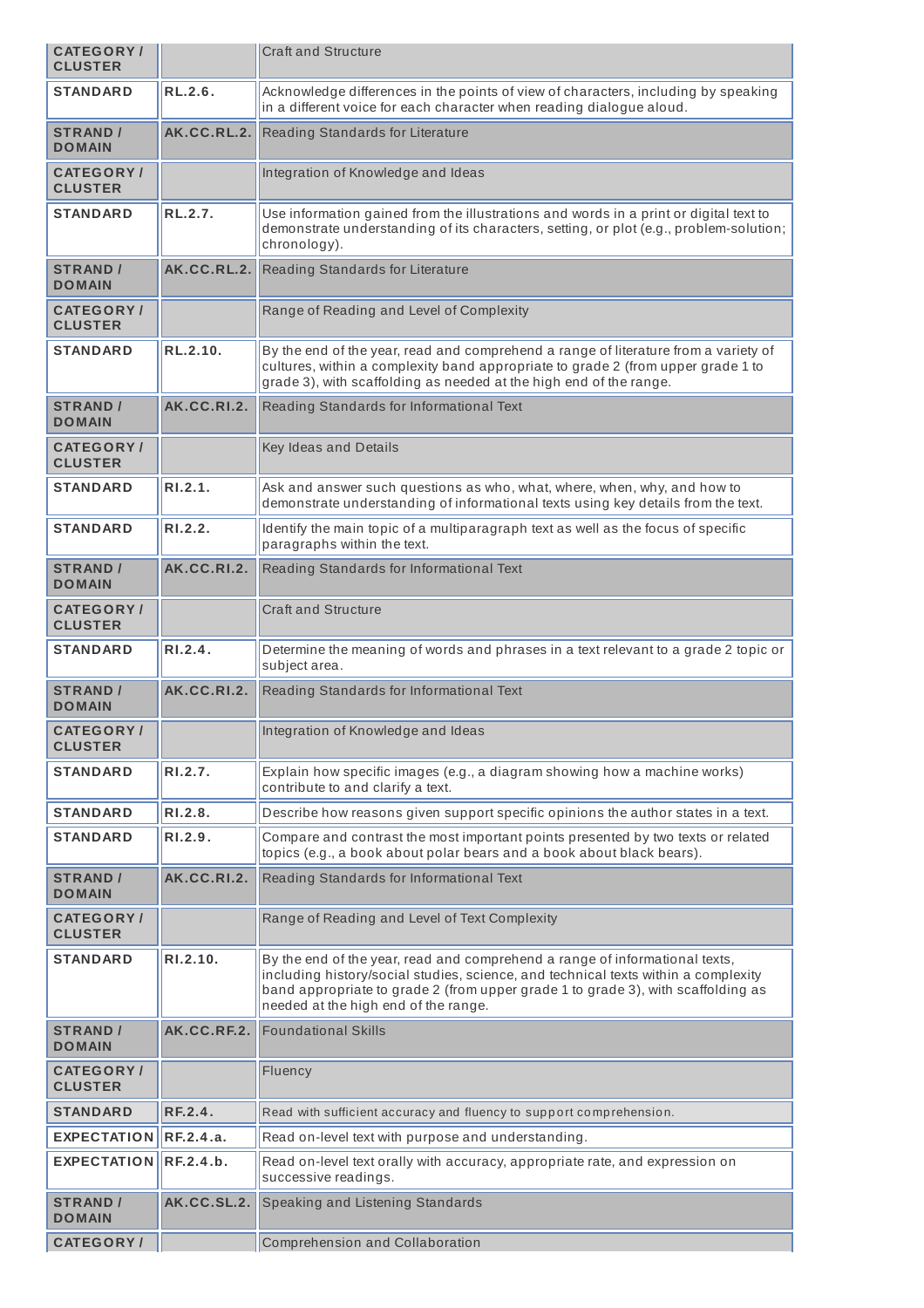| <b>CATEGORY/</b><br><b>CLUSTER</b> |                | <b>Craft and Structure</b>                                                                                                                                                                                                                                                                    |
|------------------------------------|----------------|-----------------------------------------------------------------------------------------------------------------------------------------------------------------------------------------------------------------------------------------------------------------------------------------------|
| <b>STANDARD</b>                    | RL.2.6.        | Acknowledge differences in the points of view of characters, including by speaking<br>in a different voice for each character when reading dialogue aloud.                                                                                                                                    |
| <b>STRAND /</b><br><b>DOMAIN</b>   | AK.CC.RL.2.    | Reading Standards for Literature                                                                                                                                                                                                                                                              |
| <b>CATEGORY/</b><br><b>CLUSTER</b> |                | Integration of Knowledge and Ideas                                                                                                                                                                                                                                                            |
| <b>STANDARD</b>                    | <b>RL.2.7.</b> | Use information gained from the illustrations and words in a print or digital text to<br>demonstrate understanding of its characters, setting, or plot (e.g., problem-solution;<br>chronology).                                                                                               |
| <b>STRAND /</b><br><b>DOMAIN</b>   | AK.CC.RL.2.    | Reading Standards for Literature                                                                                                                                                                                                                                                              |
| <b>CATEGORY/</b><br><b>CLUSTER</b> |                | Range of Reading and Level of Complexity                                                                                                                                                                                                                                                      |
| <b>STANDARD</b>                    | RL.2.10.       | By the end of the year, read and comprehend a range of literature from a variety of<br>cultures, within a complexity band appropriate to grade 2 (from upper grade 1 to<br>grade 3), with scaffolding as needed at the high end of the range.                                                 |
| <b>STRAND /</b><br><b>DOMAIN</b>   | AK.CC.RI.2.    | Reading Standards for Informational Text                                                                                                                                                                                                                                                      |
| <b>CATEGORY/</b><br><b>CLUSTER</b> |                | Key Ideas and Details                                                                                                                                                                                                                                                                         |
| <b>STANDARD</b>                    | R1.2.1.        | Ask and answer such questions as who, what, where, when, why, and how to<br>demonstrate understanding of informational texts using key details from the text.                                                                                                                                 |
| <b>STANDARD</b>                    | RI.2.2.        | Identify the main topic of a multiparagraph text as well as the focus of specific<br>paragraphs within the text.                                                                                                                                                                              |
| <b>STRAND /</b><br><b>DOMAIN</b>   | AK.CC.RI.2.    | Reading Standards for Informational Text                                                                                                                                                                                                                                                      |
| <b>CATEGORY/</b><br><b>CLUSTER</b> |                | <b>Craft and Structure</b>                                                                                                                                                                                                                                                                    |
| <b>STANDARD</b>                    | RI.2.4.        | Determine the meaning of words and phrases in a text relevant to a grade 2 topic or<br>subject area.                                                                                                                                                                                          |
| <b>STRAND /</b><br><b>DOMAIN</b>   | AK.CC.RI.2.    | Reading Standards for Informational Text                                                                                                                                                                                                                                                      |
| <b>CATEGORY/</b><br><b>CLUSTER</b> |                | Integration of Knowledge and Ideas                                                                                                                                                                                                                                                            |
| STANDARD                           | RI.2.7.        | Explain how specific images (e.g., a diagram showing how a machine works)<br>contribute to and clarify a text.                                                                                                                                                                                |
| <b>STANDARD</b>                    | RI.2.8.        | Describe how reasons given support specific opinions the author states in a text.                                                                                                                                                                                                             |
| <b>STANDARD</b>                    | R1.2.9.        | Compare and contrast the most important points presented by two texts or related<br>topics (e.g., a book about polar bears and a book about black bears).                                                                                                                                     |
| <b>STRAND /</b><br><b>DOMAIN</b>   | AK.CC.RI.2.    | Reading Standards for Informational Text                                                                                                                                                                                                                                                      |
| <b>CATEGORY/</b><br><b>CLUSTER</b> |                | Range of Reading and Level of Text Complexity                                                                                                                                                                                                                                                 |
| <b>STANDARD</b>                    | RI.2.10.       | By the end of the year, read and comprehend a range of informational texts,<br>including history/social studies, science, and technical texts within a complexity<br>band appropriate to grade 2 (from upper grade 1 to grade 3), with scaffolding as<br>needed at the high end of the range. |
| <b>STRAND /</b><br><b>DOMAIN</b>   | AK.CC.RF.2.    | <b>Foundational Skills</b>                                                                                                                                                                                                                                                                    |
| <b>CATEGORY/</b><br><b>CLUSTER</b> |                | Fluency                                                                                                                                                                                                                                                                                       |
| <b>STANDARD</b>                    | RF.2.4.        | Read with sufficient accuracy and fluency to support comprehension.                                                                                                                                                                                                                           |
| <b>EXPECTATION</b>                 | RF.2.4.a.      | Read on-level text with purpose and understanding.                                                                                                                                                                                                                                            |
| <b>EXPECTATION</b>                 | RE.2.4.b.      | Read on-level text orally with accuracy, appropriate rate, and expression on<br>successive readings.                                                                                                                                                                                          |
| <b>STRAND</b> /<br><b>DOMAIN</b>   | AK.CC.SL.2.    | Speaking and Listening Standards                                                                                                                                                                                                                                                              |
| <b>CATEGORY/</b>                   |                | Comprehension and Collaboration                                                                                                                                                                                                                                                               |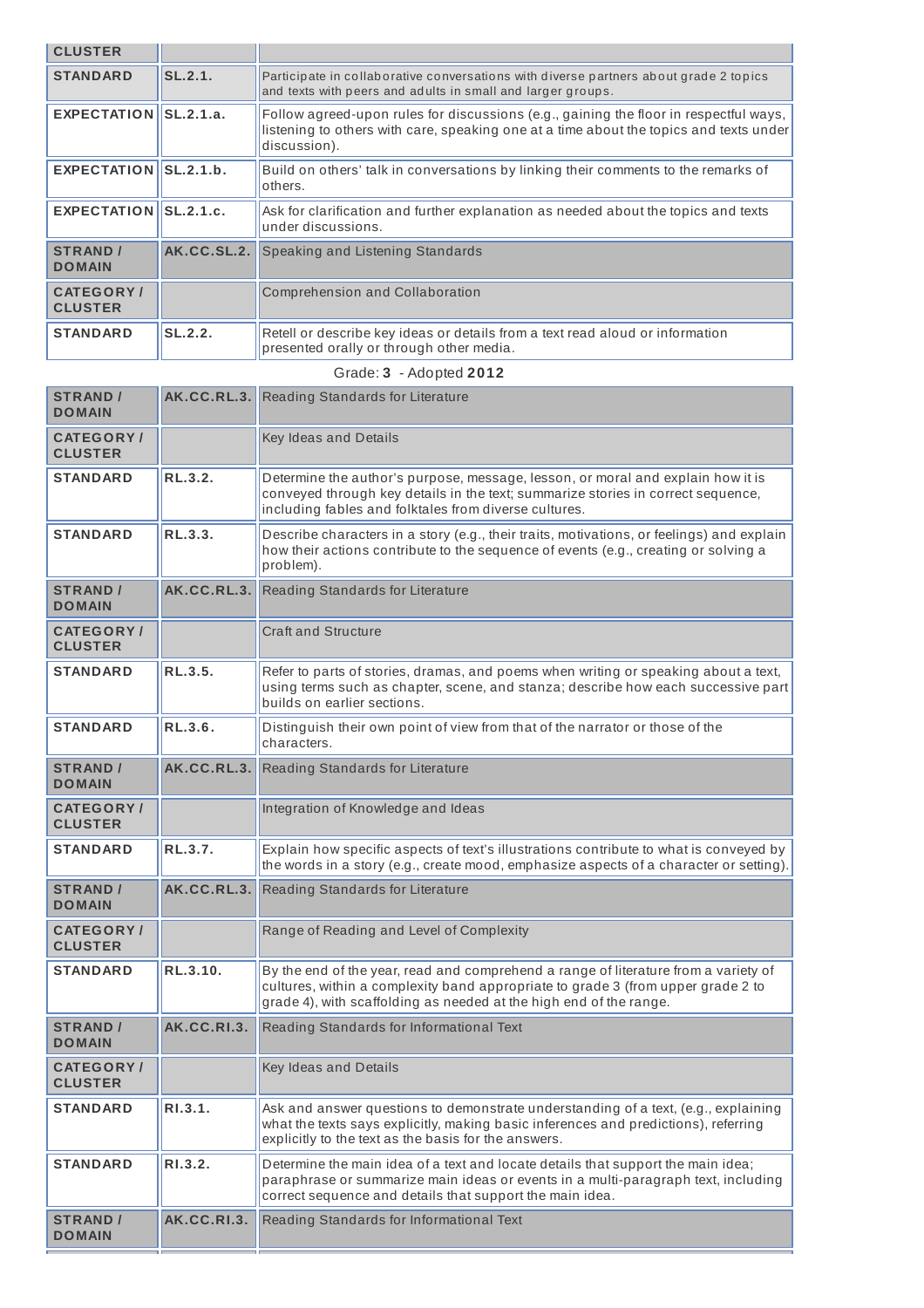| <b>CLUSTER</b>                      |                    |                                                                                                                                                                                                                                               |
|-------------------------------------|--------------------|-----------------------------------------------------------------------------------------------------------------------------------------------------------------------------------------------------------------------------------------------|
| <b>STANDARD</b>                     | SL.2.1.            | Participate in collaborative conversations with diverse partners about grade 2 topics<br>and texts with peers and adults in small and larger groups.                                                                                          |
| EXPECTATION SL.2.1.a.               |                    | Follow agreed-upon rules for discussions (e.g., gaining the floor in respectful ways,<br>listening to others with care, speaking one at a time about the topics and texts under<br>discussion).                                               |
| EXPECTATION $\parallel$ SL.2.1.b.   |                    | Build on others' talk in conversations by linking their comments to the remarks of<br>others.                                                                                                                                                 |
| EXPECTATION SL.2.1.c.               |                    | Ask for clarification and further explanation as needed about the topics and texts<br>under discussions.                                                                                                                                      |
| <b>STRAND /</b><br><b>DOMAIN</b>    | AK.CC.SL.2.        | Speaking and Listening Standards                                                                                                                                                                                                              |
| <b>CATEGORY</b> /<br><b>CLUSTER</b> |                    | Comprehension and Collaboration                                                                                                                                                                                                               |
| <b>STANDARD</b>                     | SL.2.2.            | Retell or describe key ideas or details from a text read aloud or information<br>presented orally or through other media.                                                                                                                     |
|                                     |                    | Grade: 3 - Adopted 2012                                                                                                                                                                                                                       |
| <b>STRAND /</b><br><b>DOMAIN</b>    | AK.C.C.RL.3.       | Reading Standards for Literature                                                                                                                                                                                                              |
| <b>CATEGORY/</b><br><b>CLUSTER</b>  |                    | Key Ideas and Details                                                                                                                                                                                                                         |
| <b>STANDARD</b>                     | RL.3.2.            | Determine the author's purpose, message, lesson, or moral and explain how it is<br>conveyed through key details in the text; summarize stories in correct sequence,<br>including fables and folktales from diverse cultures.                  |
| <b>STANDARD</b>                     | RL.3.3.            | Describe characters in a story (e.g., their traits, motivations, or feelings) and explain<br>how their actions contribute to the sequence of events (e.g., creating or solving a<br>problem).                                                 |
|                                     |                    |                                                                                                                                                                                                                                               |
| <b>STRAND /</b><br><b>DOMAIN</b>    | AK.CC.RL.3.        | Reading Standards for Literature                                                                                                                                                                                                              |
| <b>CATEGORY/</b><br><b>CLUSTER</b>  |                    | <b>Craft and Structure</b>                                                                                                                                                                                                                    |
| <b>STANDARD</b>                     | RL.3.5.            | Refer to parts of stories, dramas, and poems when writing or speaking about a text,<br>using terms such as chapter, scene, and stanza; describe how each successive part<br>builds on earlier sections.                                       |
| <b>STANDARD</b>                     | RL.3.6.            | Distinguish their own point of view from that of the narrator or those of the<br>characters.                                                                                                                                                  |
| <b>STRAND</b> /<br><b>DOMAIN</b>    | <b>AK.CC.RL.3.</b> | Reading Standards for Literature                                                                                                                                                                                                              |
| <b>CATEGORY/</b><br><b>CLUSTER</b>  |                    | Integration of Knowledge and Ideas                                                                                                                                                                                                            |
| <b>STANDARD</b>                     | RL.3.7.            | Explain how specific aspects of text's illustrations contribute to what is conveyed by<br>the words in a story (e.g., create mood, emphasize aspects of a character or setting).                                                              |
| <b>STRAND</b> /<br><b>DOMAIN</b>    | AK.CC.RL.3.        | Reading Standards for Literature                                                                                                                                                                                                              |
| <b>CATEGORY/</b><br><b>CLUSTER</b>  |                    | Range of Reading and Level of Complexity                                                                                                                                                                                                      |
| <b>STANDARD</b>                     | RL.3.10.           | By the end of the year, read and comprehend a range of literature from a variety of<br>cultures, within a complexity band appropriate to grade 3 (from upper grade 2 to<br>grade 4), with scaffolding as needed at the high end of the range. |
| <b>STRAND /</b><br><b>DOMAIN</b>    | AK.CC.RI.3.        | Reading Standards for Informational Text                                                                                                                                                                                                      |
| <b>CATEGORY/</b><br><b>CLUSTER</b>  |                    | Key Ideas and Details                                                                                                                                                                                                                         |

explicitly to the text as the basis for the answers. **STANDARD RI.3.2. CONTERGATABLE THE MANUARY OF A THE MANUARY IS STANDARD R RIGGISH** paraphrase or summarize main ideas or events in a multi-paragraph text, including correct sequence and details that support the main idea. **STRAND / AK.CC.RI.3.** Reading Standards for Informational Text

**DOMAIN**